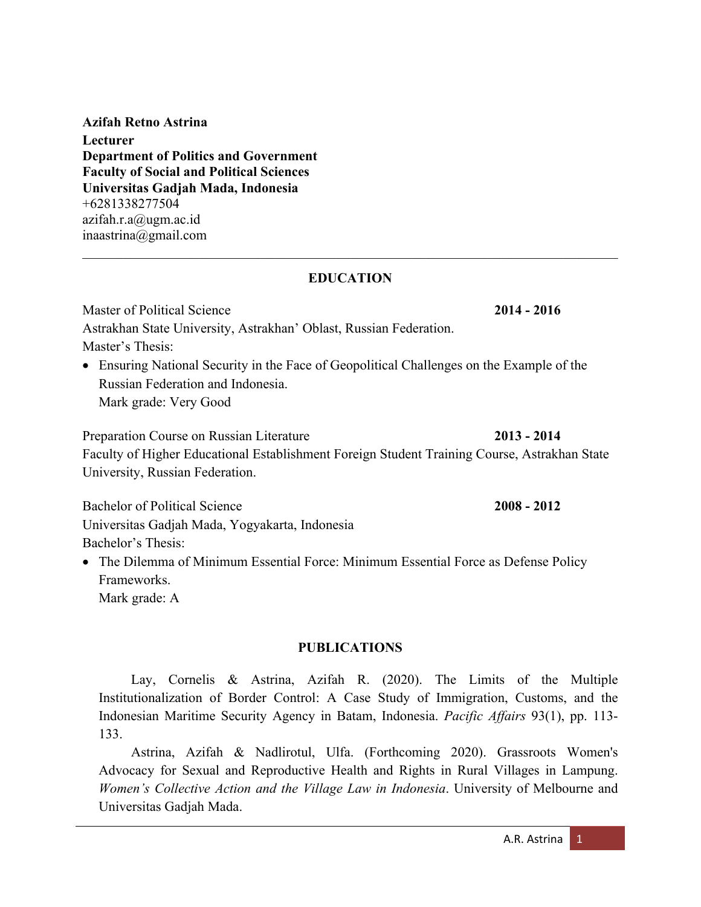**Azifah Retno Astrina Lecturer Department of Politics and Government Faculty of Social and Political Sciences Universitas Gadjah Mada, Indonesia** +6281338277504 azifah.r.a@ugm.ac.id inaastrina@gmail.com

#### **EDUCATION**

Master of Political Science **2014 - 2016** Astrakhan State University, Astrakhan' Oblast, Russian Federation. Master's Thesis: • Ensuring National Security in the Face of Geopolitical Challenges on the Example of the Russian Federation and Indonesia. Mark grade: Very Good

Preparation Course on Russian Literature **2013 - 2014** Faculty of Higher Educational Establishment Foreign Student Training Course, Astrakhan State University, Russian Federation.

Bachelor of Political Science **2008 - 2012** Universitas Gadjah Mada, Yogyakarta, Indonesia Bachelor's Thesis:

• The Dilemma of Minimum Essential Force: Minimum Essential Force as Defense Policy Frameworks. Mark grade: A

#### **PUBLICATIONS**

Lay, Cornelis & Astrina, Azifah R. (2020). The Limits of the Multiple Institutionalization of Border Control: A Case Study of Immigration, Customs, and the Indonesian Maritime Security Agency in Batam, Indonesia. *Pacific Affairs* 93(1), pp. 113- 133.

Astrina, Azifah & Nadlirotul, Ulfa. (Forthcoming 2020). Grassroots Women's Advocacy for Sexual and Reproductive Health and Rights in Rural Villages in Lampung. *Women's Collective Action and the Village Law in Indonesia*. University of Melbourne and Universitas Gadjah Mada.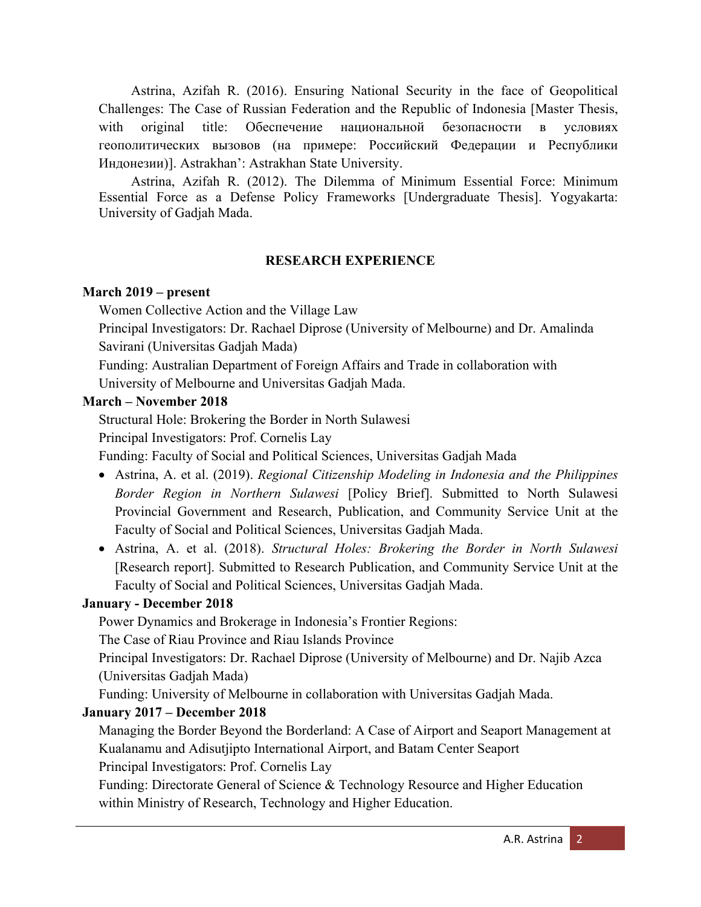Astrina, Azifah R. (2016). Ensuring National Security in the face of Geopolitical Challenges: The Case of Russian Federation and the Republic of Indonesia [Master Thesis, with original title: Обеспечение национальной безопасности в условиях геополитических вызовов (на примере: Российский Федерации и Республики Индонезии)]. Astrakhan': Astrakhan State University.

Astrina, Azifah R. (2012). The Dilemma of Minimum Essential Force: Minimum Essential Force as a Defense Policy Frameworks [Undergraduate Thesis]. Yogyakarta: University of Gadjah Mada.

#### **RESEARCH EXPERIENCE**

#### **March 2019 – present**

Women Collective Action and the Village Law

Principal Investigators: Dr. Rachael Diprose (University of Melbourne) and Dr. Amalinda Savirani (Universitas Gadjah Mada)

Funding: Australian Department of Foreign Affairs and Trade in collaboration with

University of Melbourne and Universitas Gadjah Mada.

#### **March – November 2018**

Structural Hole: Brokering the Border in North Sulawesi

Principal Investigators: Prof. Cornelis Lay

Funding: Faculty of Social and Political Sciences, Universitas Gadjah Mada

- Astrina, A. et al. (2019). *Regional Citizenship Modeling in Indonesia and the Philippines Border Region in Northern Sulawesi* [Policy Brief]. Submitted to North Sulawesi Provincial Government and Research, Publication, and Community Service Unit at the Faculty of Social and Political Sciences, Universitas Gadjah Mada.
- Astrina, A. et al. (2018). *Structural Holes: Brokering the Border in North Sulawesi* [Research report]. Submitted to Research Publication, and Community Service Unit at the Faculty of Social and Political Sciences, Universitas Gadjah Mada.

## **January - December 2018**

Power Dynamics and Brokerage in Indonesia's Frontier Regions:

The Case of Riau Province and Riau Islands Province

Principal Investigators: Dr. Rachael Diprose (University of Melbourne) and Dr. Najib Azca (Universitas Gadjah Mada)

Funding: University of Melbourne in collaboration with Universitas Gadjah Mada.

## **January 2017 – December 2018**

Managing the Border Beyond the Borderland: A Case of Airport and Seaport Management at Kualanamu and Adisutjipto International Airport, and Batam Center Seaport

Principal Investigators: Prof. Cornelis Lay

Funding: Directorate General of Science & Technology Resource and Higher Education within Ministry of Research, Technology and Higher Education.